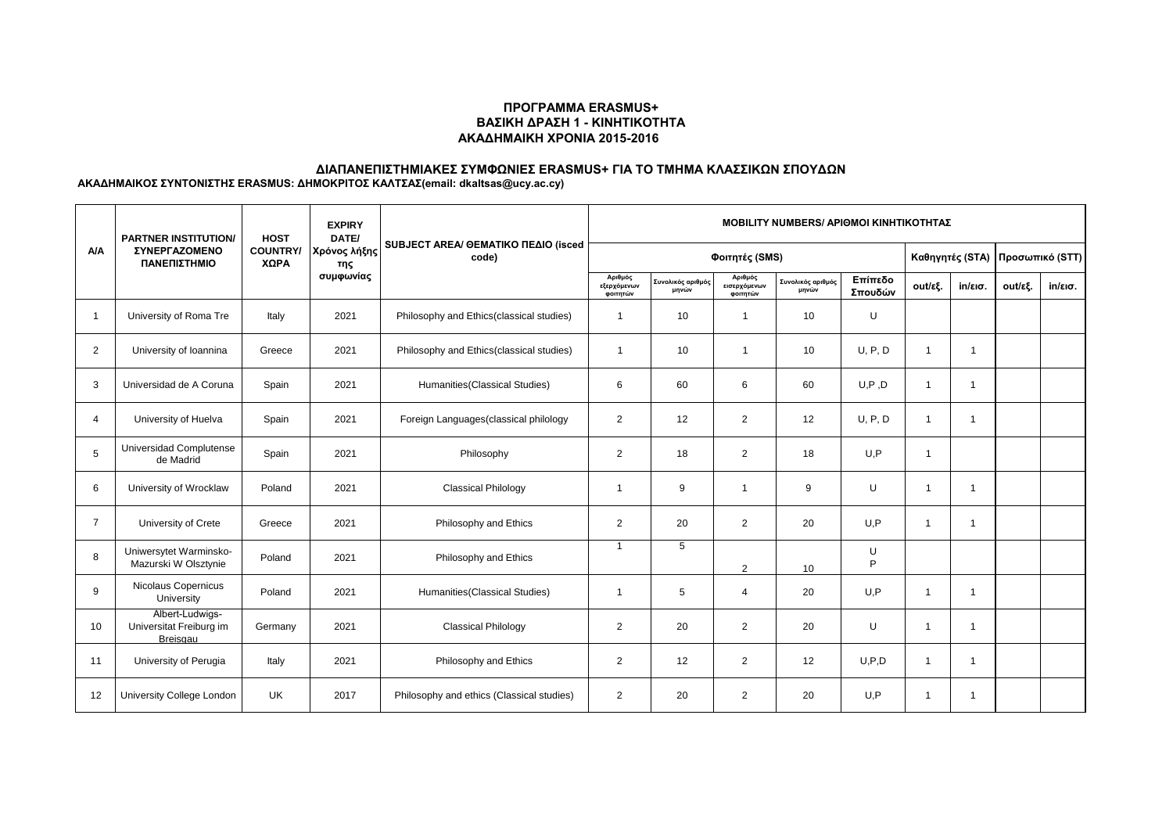#### **ΠΡΟΓΡΑΜΜΑ ERASMUS+ ΒΑΣΙΚΗ ΔΡΑΣΗ 1 - ΚΙΝΗΤΙΚΟΤΗΤΑ ΑΚΑΔΗΜΑΙΚΗ ΧΡΟΝΙΑ 2015-2016**

# **ΔΙΑΠΑΝΕΠΙΣΤΗΜΙΑΚΕΣ ΣΥΜΦΩΝΙΕΣ ERASMUS+ ΓΙΑ ΤΟ ΤΜΗΜΑ ΚΛΑΣΣΙΚΩΝ ΣΠΟΥΔΩΝ**

**ΑΚΑΔΗΜΑΙΚΟΣ ΣΥΝΤΟΝΙΣΤΗΣ ERASMUS: ΔΗΜΟΚΡΙΤΟΣ ΚΑΛΤΣΑΣ(email: dkaltsas@ucy.ac.cy)**

| <b>A/A</b>     | <b>PARTNER INSTITUTION/</b><br><b><i>ΣΥΝΕΡΓΑΖΟΜΕΝΟ</i></b><br>ΠΑΝΕΠΙΣΤΗΜΙΟ | <b>HOST</b><br><b>COUNTRY/</b><br>XΩPA | <b>EXPIRY</b><br>DATE/<br>Χρόνος λήξης<br>της | SUBJECT AREA/ GEMATIKO ΠΕΔΙΟ (isced<br>code) | <b>MOBILITY NUMBERS/ APIOMOI KINHTIKOTHTAZ</b> |                            |                                     |                            |                    |                 |                   |                 |                   |
|----------------|----------------------------------------------------------------------------|----------------------------------------|-----------------------------------------------|----------------------------------------------|------------------------------------------------|----------------------------|-------------------------------------|----------------------------|--------------------|-----------------|-------------------|-----------------|-------------------|
|                |                                                                            |                                        |                                               |                                              | Φοιτητές (SMS)                                 |                            |                                     |                            |                    | Καθηγητές (STA) |                   | Προσωπικό (STT) |                   |
|                |                                                                            |                                        | συμφωνίας                                     |                                              | Αριθμός<br>εξερχόμενων<br>φοιτητών             | Συνολικός αριθμός<br>μηνών | Αριθμός<br>εισερχόμενων<br>φοιτητών | Συνολικός αριθμός<br>μηνών | Επίπεδο<br>Σπουδών | out/εξ.         | $in/\epsilon$ ισ. | out/εξ.         | $in/\epsilon$ ισ. |
|                | University of Roma Tre                                                     | Italy                                  | 2021                                          | Philosophy and Ethics(classical studies)     | $\overline{1}$                                 | 10                         | $\mathbf{1}$                        | 10                         | U                  |                 |                   |                 |                   |
| $\overline{2}$ | University of Ioannina                                                     | Greece                                 | 2021                                          | Philosophy and Ethics(classical studies)     | $\mathbf{1}$                                   | 10                         | $\mathbf{1}$                        | 10                         | U, P, D            | $\mathbf{1}$    | 1                 |                 |                   |
| 3              | Universidad de A Coruna                                                    | Spain                                  | 2021                                          | Humanities (Classical Studies)               | 6                                              | 60                         | 6                                   | 60                         | U, P, D            | $\overline{1}$  | $\overline{1}$    |                 |                   |
| $\overline{4}$ | University of Huelva                                                       | Spain                                  | 2021                                          | Foreign Languages (classical philology       | $\overline{2}$                                 | 12                         | $\overline{2}$                      | 12                         | U, P, D            | $\mathbf{1}$    | -1                |                 |                   |
| 5              | Universidad Complutense<br>de Madrid                                       | Spain                                  | 2021                                          | Philosophy                                   | 2                                              | 18                         | $\overline{2}$                      | 18                         | U,P                | $\mathbf{1}$    |                   |                 |                   |
| 6              | University of Wrocklaw                                                     | Poland                                 | 2021                                          | <b>Classical Philology</b>                   | $\overline{1}$                                 | 9                          | $\mathbf{1}$                        | 9                          | U                  | $\overline{1}$  | -1                |                 |                   |
| $\overline{7}$ | University of Crete                                                        | Greece                                 | 2021                                          | Philosophy and Ethics                        | 2                                              | 20                         | $\overline{2}$                      | 20                         | U.P                | $\overline{1}$  | -1                |                 |                   |
| 8              | Uniwersytet Warminsko-<br>Mazurski W Olsztynie                             | Poland                                 | 2021                                          | Philosophy and Ethics                        | $\overline{1}$                                 | 5                          | $\overline{2}$                      | 10                         | U<br>P             |                 |                   |                 |                   |
| 9              | Nicolaus Copernicus<br>University                                          | Poland                                 | 2021                                          | Humanities (Classical Studies)               | $\overline{1}$                                 | 5                          | $\overline{4}$                      | 20                         | U.P                | $\overline{1}$  | -1                |                 |                   |
| 10             | Albert-Ludwigs-<br>Universitat Freiburg im<br>Breisgau                     | Germany                                | 2021                                          | <b>Classical Philology</b>                   | $\overline{2}$                                 | 20                         | $\overline{2}$                      | 20                         | U                  | $\overline{1}$  |                   |                 |                   |
| 11             | University of Perugia                                                      | Italy                                  | 2021                                          | Philosophy and Ethics                        | $\overline{2}$                                 | 12                         | $\overline{2}$                      | 12                         | U.P.D              | -1              |                   |                 |                   |
| 12             | University College London                                                  | <b>UK</b>                              | 2017                                          | Philosophy and ethics (Classical studies)    | 2                                              | 20                         | $\overline{2}$                      | 20                         | U.P                | -1              | -1                |                 |                   |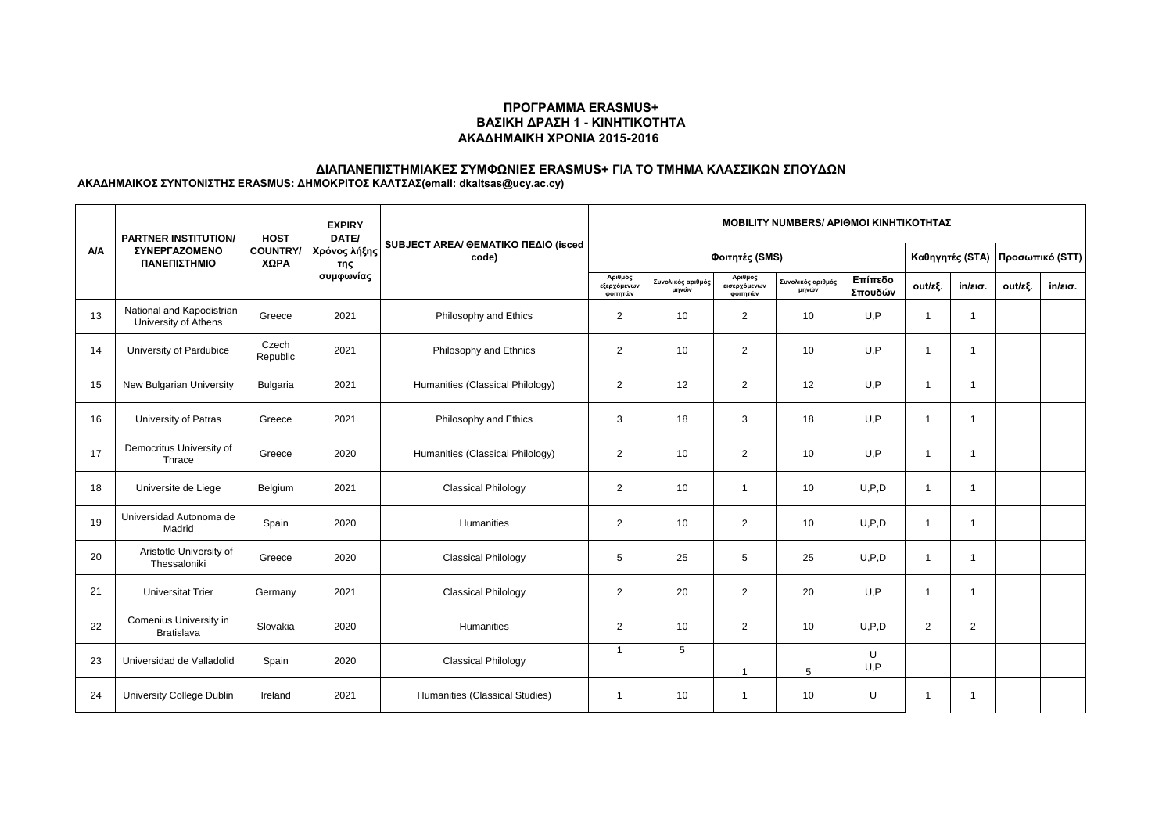#### **ΠΡΟΓΡΑΜΜΑ ERASMUS+ ΒΑΣΙΚΗ ΔΡΑΣΗ 1 - ΚΙΝΗΤΙΚΟΤΗΤΑ ΑΚΑΔΗΜΑΙΚΗ ΧΡΟΝΙΑ 2015-2016**

# **ΔΙΑΠΑΝΕΠΙΣΤΗΜΙΑΚΕΣ ΣΥΜΦΩΝΙΕΣ ERASMUS+ ΓΙΑ ΤΟ ΤΜΗΜΑ ΚΛΑΣΣΙΚΩΝ ΣΠΟΥΔΩΝ**

**ΑΚΑΔΗΜΑΙΚΟΣ ΣΥΝΤΟΝΙΣΤΗΣ ERASMUS: ΔΗΜΟΚΡΙΤΟΣ ΚΑΛΤΣΑΣ(email: dkaltsas@ucy.ac.cy)**

| <b>A/A</b> | <b>PARTNER INSTITUTION/</b><br>ΣΥΝΕΡΓΑΖΟΜΕΝΟ<br>ΠΑΝΕΠΙΣΤΗΜΙΟ | <b>HOST</b><br><b>COUNTRY/</b><br>ΧΩΡΑ | <b>EXPIRY</b><br>DATE/<br>Χρόνος λήξης<br>της<br>συμφωνίας | SUBJECT AREA/ GEMATIKO ΠΕΔΙΟ (isced<br>code) | <b>MOBILITY NUMBERS/ APIOMOI KINHTIKOTHTAZ</b> |                            |                                     |                            |                    |                 |                         |                 |                   |
|------------|--------------------------------------------------------------|----------------------------------------|------------------------------------------------------------|----------------------------------------------|------------------------------------------------|----------------------------|-------------------------------------|----------------------------|--------------------|-----------------|-------------------------|-----------------|-------------------|
|            |                                                              |                                        |                                                            |                                              | Φοιτητές (SMS)                                 |                            |                                     |                            |                    | Καθηγητές (STA) |                         | Προσωπικό (STT) |                   |
|            |                                                              |                                        |                                                            |                                              | Αριθμός<br>εξερχόμενων<br>φοιτητών             | Συνολικός αριθμός<br>μηνών | Αριθμός<br>εισερχόμενων<br>φοιτητών | Συνολικός αριθμός<br>μηνών | Επίπεδο<br>Σπουδών | out/εξ.         | $in/\epsilon$ ισ.       | out/εξ.         | $in/\epsilon$ ισ. |
| 13         | National and Kapodistrian<br>University of Athens            | Greece                                 | 2021                                                       | Philosophy and Ethics                        | $\overline{2}$                                 | 10                         | $\overline{2}$                      | 10                         | U,P                | -1              | -1                      |                 |                   |
| 14         | University of Pardubice                                      | Czech<br>Republic                      | 2021                                                       | Philosophy and Ethnics                       | 2                                              | 10                         | $\overline{2}$                      | 10                         | U, P               | $\mathbf{1}$    | $\overline{1}$          |                 |                   |
| 15         | New Bulgarian University                                     | Bulgaria                               | 2021                                                       | Humanities (Classical Philology)             | $\overline{2}$                                 | 12                         | $\overline{2}$                      | 12                         | U.P                | $\overline{1}$  | $\overline{\mathbf{1}}$ |                 |                   |
| 16         | University of Patras                                         | Greece                                 | 2021                                                       | Philosophy and Ethics                        | 3                                              | 18                         | 3                                   | 18                         | U, P               | $\mathbf{1}$    | -1                      |                 |                   |
| 17         | Democritus University of<br>Thrace                           | Greece                                 | 2020                                                       | Humanities (Classical Philology)             | $\overline{2}$                                 | 10                         | $\overline{2}$                      | 10                         | U.P                | $\overline{1}$  | -1                      |                 |                   |
| 18         | Universite de Liege                                          | Belgium                                | 2021                                                       | <b>Classical Philology</b>                   | 2                                              | 10                         | $\mathbf{1}$                        | 10                         | U, P, D            | $\overline{1}$  | $\overline{1}$          |                 |                   |
| 19         | Universidad Autonoma de<br>Madrid                            | Spain                                  | 2020                                                       | Humanities                                   | $\overline{2}$                                 | 10                         | $\overline{2}$                      | 10                         | U.P.D              | $\overline{1}$  | $\overline{1}$          |                 |                   |
| 20         | Aristotle University of<br>Thessaloniki                      | Greece                                 | 2020                                                       | <b>Classical Philology</b>                   | 5                                              | 25                         | 5                                   | 25                         | U.P.D              | $\mathbf{1}$    | -1                      |                 |                   |
| 21         | <b>Universitat Trier</b>                                     | Germany                                | 2021                                                       | <b>Classical Philology</b>                   | $\overline{2}$                                 | 20                         | $\overline{2}$                      | 20                         | U, P               | $\overline{1}$  |                         |                 |                   |
| 22         | Comenius University in<br><b>Bratislava</b>                  | Slovakia                               | 2020                                                       | Humanities                                   | $\overline{2}$                                 | 10                         | $\overline{2}$                      | 10                         | U.P.D              | $\overline{2}$  | $\overline{2}$          |                 |                   |
| 23         | Universidad de Valladolid                                    | Spain                                  | 2020                                                       | <b>Classical Philology</b>                   | $\overline{1}$                                 | 5                          | $\overline{ }$                      | 5                          | U<br>U.P           |                 |                         |                 |                   |
| 24         | University College Dublin                                    | Ireland                                | 2021                                                       | Humanities (Classical Studies)               | $\overline{1}$                                 | 10                         | $\mathbf{1}$                        | 10                         | U                  | -1              | -1                      |                 |                   |